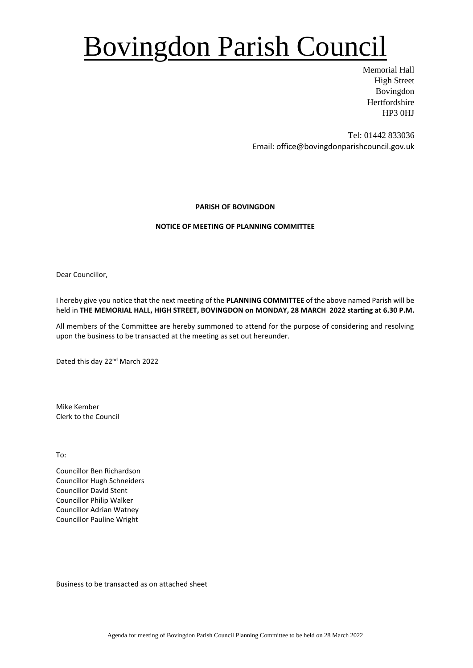## Bovingdon Parish Council

Memorial Hall High Street Bovingdon Hertfordshire HP3 0HJ

Tel: 01442 833036 Email: office@bovingdonparishcouncil.gov.uk

### **PARISH OF BOVINGDON**

### **NOTICE OF MEETING OF PLANNING COMMITTEE**

Dear Councillor,

I hereby give you notice that the next meeting of the **PLANNING COMMITTEE** of the above named Parish will be held in **THE MEMORIAL HALL, HIGH STREET, BOVINGDON on MONDAY, 28 MARCH 2022 starting at 6.30 P.M.**

All members of the Committee are hereby summoned to attend for the purpose of considering and resolving upon the business to be transacted at the meeting as set out hereunder.

Dated this day 22nd March 2022

Mike Kember Clerk to the Council

To:

Councillor Ben Richardson Councillor Hugh Schneiders Councillor David Stent Councillor Philip Walker Councillor Adrian Watney Councillor Pauline Wright

Business to be transacted as on attached sheet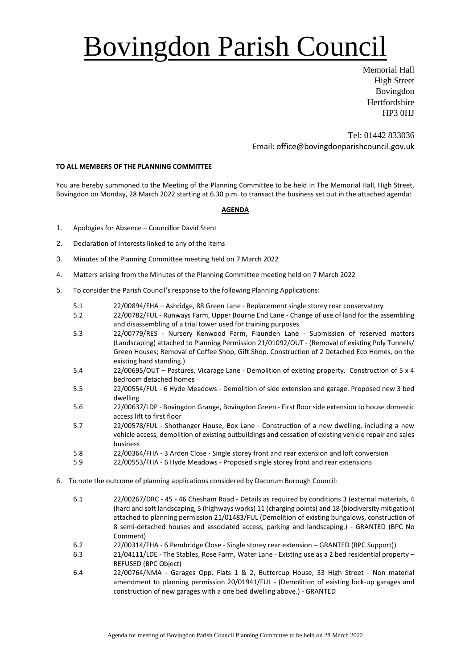# Bovingdon Parish Council

Memorial Hall High Street Bovingdon **Hertfordshire** HP3 0HJ

Tel: 01442 833036 Email: office@bovingdonparishcouncil.gov.uk

#### **TO ALL MEMBERS OF THE PLANNING COMMITTEE**

You are hereby summoned to the Meeting of the Planning Committee to be held in The Memorial Hall, High Street, Bovingdon on Monday, 28 March 2022 starting at 6.30 p.m. to transact the business set out in the attached agenda:

#### **AGENDA**

- 1. Apologies for Absence Councillor David Stent
- 2. Declaration of Interests linked to any of the items
- 3. Minutes of the Planning Committee meeting held on 7 March 2022
- 4. Matters arising from the Minutes of the Planning Committee meeting held on 7 March 2022
- 5. To consider the Parish Council's response to the following Planning Applications:
	- 5.1 22/00894/FHA Ashridge, 88 Green Lane Replacement single storey rear conservatory
	- 5.2 22/00782/FUL Runways Farm, Upper Bourne End Lane Change of use of land for the assembling and disassembling of a trial tower used for training purposes
	- 5.3 22/00779/RES Nursery Kenwood Farm, Flaunden Lane Submission of reserved matters (Landscaping) attached to Planning Permission 21/01092/OUT - (Removal of existing Poly Tunnels/ Green Houses; Removal of Coffee Shop, Gift Shop. Construction of 2 Detached Eco Homes, on the existing hard standing.)
	- 5.4 22/00695/OUT Pastures, Vicarage Lane Demolition of existing property. Construction of 5 x 4 bedroom detached homes
	- 5.5 22/00554/FUL 6 Hyde Meadows Demolition of side extension and garage. Proposed new 3 bed dwelling
	- 5.6 22/00637/LDP Bovingdon Grange, Bovingdon Green First floor side extension to house domestic access lift to first floor
	- 5.7 22/00578/FUL Shothanger House, Box Lane Construction of a new dwelling, including a new vehicle access, demolition of existing outbuildings and cessation of existing vehicle repair and sales business
	- 5.8 22/00364/FHA 3 Arden Close Single storey front and rear extension and loft conversion
	- 5.9 22/00553/FHA 6 Hyde Meadows Proposed single storey front and rear extensions
- 6. To note the outcome of planning applications considered by Dacorum Borough Council:
	- 6.1 22/00267/DRC 45 46 Chesham Road Details as required by conditions 3 (external materials, 4 (hard and soft landscaping, 5 (highways works) 11 (charging points) and 18 (biodiversity mitigation) attached to planning permission 21/01483/FUL (Demolition of existing bungalows, construction of 8 semi-detached houses and associated access, parking and landscaping.) - GRANTED (BPC No Comment)
	- 6.2 22/00314/FHA 6 Pembridge Close Single storey rear extension GRANTED (BPC Support))
	- 6.3 21/04111/LDE The Stables, Rose Farm, Water Lane Existing use as a 2 bed residential property REFUSED (BPC Object)
	- 6.4 22/00764/NMA Garages Opp. Flats 1 & 2, Buttercup House, 33 High Street Non material amendment to planning permission 20/01941/FUL - (Demolition of existing lock-up garages and construction of new garages with a one bed dwelling above.) - GRANTED